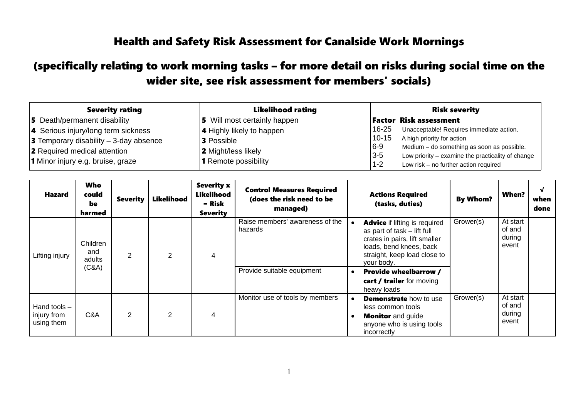## Health and Safety Risk Assessment for Canalside Work Mornings

## (specifically relating to work morning tasks – for more detail on risks during social time on the wider site, see risk assessment for members' socials)

| <b>Severity rating</b>                          | <b>Likelihood rating</b>         | <b>Risk severity</b> |                                                   |  |
|-------------------------------------------------|----------------------------------|----------------------|---------------------------------------------------|--|
| <b>5</b> Death/permanent disability             | 5 Will most certainly happen     |                      | <b>Factor Risk assessment</b>                     |  |
| 4 Serious injury/long term sickness             | <b>4</b> Highly likely to happen | $16 - 25$            | Unacceptable! Requires immediate action.          |  |
| <b>3</b> Temporary disability $-$ 3-day absence | <b>3</b> Possible                | $10 - 15$            | A high priority for action                        |  |
| <b>2</b> Required medical attention             | 2 Might/less likely              | $6-9$                | Medium - do something as soon as possible.        |  |
| 1 Minor injury e.g. bruise, graze               | <b>1</b> Remote possibility      | $3-5$<br>$1 - 2$     | Low priority – examine the practicality of change |  |
|                                                 |                                  |                      | Low risk - no further action required             |  |

| Hazard                                      | <b>Who</b><br>could<br>be<br>harmed | <b>Severity</b> | Likelihood     | <b>Severity x</b><br>Likelihood<br>= Risk<br><b>Severity</b> | <b>Control Measures Required</b><br>(does the risk need to be<br>managed) |           | <b>Actions Required</b><br>(tasks, duties)                                                                                                                                    | <b>By Whom?</b> | When?                                 | √<br>when<br>done |
|---------------------------------------------|-------------------------------------|-----------------|----------------|--------------------------------------------------------------|---------------------------------------------------------------------------|-----------|-------------------------------------------------------------------------------------------------------------------------------------------------------------------------------|-----------------|---------------------------------------|-------------------|
| Lifting injury                              | Children<br>and<br>adults<br>(C&A)  | 2               | $\overline{2}$ | 4                                                            | Raise members' awareness of the<br>hazards                                |           | <b>Advice</b> if lifting is required<br>as part of task - lift full<br>crates in pairs, lift smaller<br>loads, bend knees, back<br>straight, keep load close to<br>your body. | Grower(s)       | At start<br>of and<br>during<br>event |                   |
|                                             |                                     |                 |                |                                                              | Provide suitable equipment                                                | $\bullet$ | <b>Provide wheelbarrow /</b><br>cart / trailer for moving<br>heavy loads                                                                                                      |                 |                                       |                   |
| Hand tools $-$<br>injury from<br>using them | C&A                                 | 2               | 2              | 4                                                            | Monitor use of tools by members                                           |           | <b>Demonstrate</b> how to use<br>less common tools<br><b>Monitor</b> and guide<br>anyone who is using tools<br>incorrectly                                                    | Grower(s)       | At start<br>of and<br>during<br>event |                   |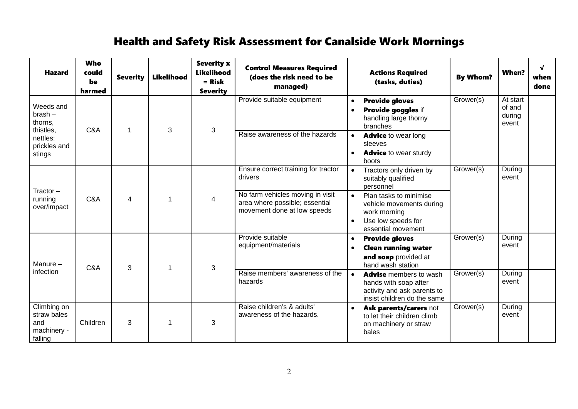## Health and Safety Risk Assessment for Canalside Work Mornings

| <b>Hazard</b>                                                                        | <b>Who</b><br>could<br>be<br>harmed | <b>Severity</b> | <b>Likelihood</b> | <b>Severity x</b><br><b>Likelihood</b><br>$=$ Risk<br><b>Severity</b> | <b>Control Measures Required</b><br>(does the risk need to be<br>managed)                         |                        | <b>Actions Required</b><br>(tasks, duties)                                                                           | <b>By Whom?</b> | <b>When?</b>                          | $\sqrt{ }$<br>when<br>done |
|--------------------------------------------------------------------------------------|-------------------------------------|-----------------|-------------------|-----------------------------------------------------------------------|---------------------------------------------------------------------------------------------------|------------------------|----------------------------------------------------------------------------------------------------------------------|-----------------|---------------------------------------|----------------------------|
| Weeds and<br>$brash -$<br>thorns,<br>thistles.<br>nettles:<br>prickles and<br>stings | C&A                                 |                 | 3                 | $\mathbf{3}$                                                          | Provide suitable equipment                                                                        | $\bullet$<br>$\bullet$ | <b>Provide gloves</b><br>Provide goggles if<br>handling large thorny<br>branches                                     | Grower(s)       | At start<br>of and<br>during<br>event |                            |
|                                                                                      |                                     |                 |                   |                                                                       | Raise awareness of the hazards                                                                    | $\bullet$              | <b>Advice to wear long</b><br>sleeves<br><b>Advice</b> to wear sturdy<br>boots                                       |                 |                                       |                            |
| $Traction -$<br>running<br>over/impact                                               | C&A                                 | 4               |                   |                                                                       | Ensure correct training for tractor<br>drivers                                                    | $\bullet$              | Tractors only driven by<br>suitably qualified<br>personnel                                                           | Grower(s)       | During<br>event                       |                            |
|                                                                                      |                                     |                 |                   | 4                                                                     | No farm vehicles moving in visit<br>area where possible; essential<br>movement done at low speeds | $\bullet$<br>$\bullet$ | Plan tasks to minimise<br>vehicle movements during<br>work morning<br>Use low speeds for<br>essential movement       |                 |                                       |                            |
| Manure $-$                                                                           | C&A                                 | 3               |                   | 3                                                                     | Provide suitable<br>equipment/materials                                                           | $\bullet$<br>$\bullet$ | <b>Provide gloves</b><br><b>Clean running water</b><br>and soap provided at<br>hand wash station                     | Grower(s)       | During<br>event                       |                            |
| infection                                                                            |                                     |                 |                   |                                                                       | Raise members' awareness of the<br>hazards                                                        | $\bullet$              | <b>Advise</b> members to wash<br>hands with soap after<br>activity and ask parents to<br>insist children do the same | Grower(s)       | During<br>event                       |                            |
| Climbing on<br>straw bales<br>and<br>machinery -<br>falling                          | Children                            | 3               | 1                 | 3                                                                     | Raise children's & adults'<br>awareness of the hazards.                                           | $\bullet$              | Ask parents/carers not<br>to let their children climb<br>on machinery or straw<br>bales                              | Grower(s)       | During<br>event                       |                            |